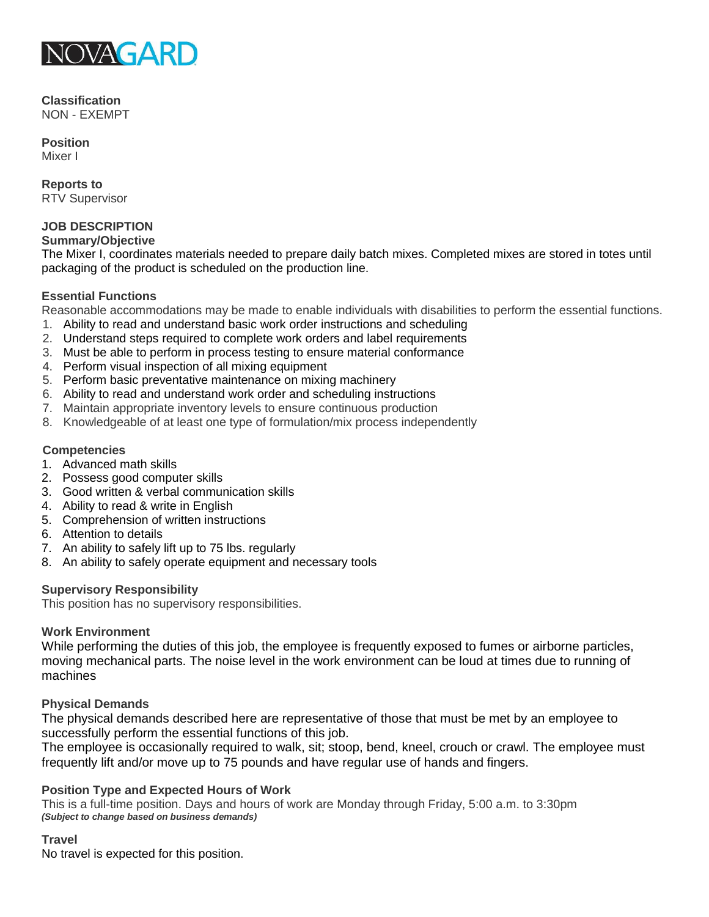

#### **Classification** NON - EXEMPT

**Position** Mixer I

**Reports to** RTV Supervisor

#### **JOB DESCRIPTION Summary/Objective**

The Mixer I, coordinates materials needed to prepare daily batch mixes. Completed mixes are stored in totes until packaging of the product is scheduled on the production line.

# **Essential Functions**

Reasonable accommodations may be made to enable individuals with disabilities to perform the essential functions.

- 1. Ability to read and understand basic work order instructions and scheduling
- 2. Understand steps required to complete work orders and label requirements
- 3. Must be able to perform in process testing to ensure material conformance
- 4. Perform visual inspection of all mixing equipment
- 5. Perform basic preventative maintenance on mixing machinery
- 6. Ability to read and understand work order and scheduling instructions
- 7. Maintain appropriate inventory levels to ensure continuous production
- 8. Knowledgeable of at least one type of formulation/mix process independently

# **Competencies**

- 1. Advanced math skills
- 2. Possess good computer skills
- 3. Good written & verbal communication skills
- 4. Ability to read & write in English
- 5. Comprehension of written instructions
- 6. Attention to details
- 7. An ability to safely lift up to 75 lbs. regularly
- 8. An ability to safely operate equipment and necessary tools

## **Supervisory Responsibility**

This position has no supervisory responsibilities.

## **Work Environment**

While performing the duties of this job, the employee is frequently exposed to fumes or airborne particles, moving mechanical parts. The noise level in the work environment can be loud at times due to running of machines

## **Physical Demands**

The physical demands described here are representative of those that must be met by an employee to successfully perform the essential functions of this job.

The employee is occasionally required to walk, sit; stoop, bend, kneel, crouch or crawl. The employee must frequently lift and/or move up to 75 pounds and have regular use of hands and fingers.

## **Position Type and Expected Hours of Work**

This is a full-time position. Days and hours of work are Monday through Friday, 5:00 a.m. to 3:30pm *(Subject to change based on business demands)*

# **Travel**

No travel is expected for this position.